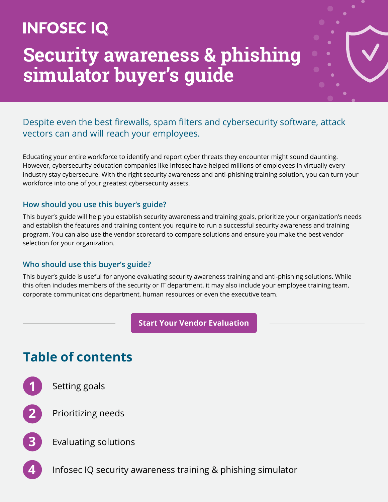## **INFOSEC IQ**

## **Security awareness & phishing simulator buyer's guide**

### Despite even the best firewalls, spam filters and cybersecurity software, attack vectors can and will reach your employees.

Educating your entire workforce to identify and report cyber threats they encounter might sound daunting. However, cybersecurity education companies like Infosec have helped millions of employees in virtually every industry stay cybersecure. With the right security awareness and anti-phishing training solution, you can turn your workforce into one of your greatest cybersecurity assets.

#### **How should you use this buyer's guide?**

This buyer's guide will help you establish security awareness and training goals, prioritize your organization's needs and establish the features and training content you require to run a successful security awareness and training program. You can also use the vendor scorecard to compare solutions and ensure you make the best vendor selection for your organization.

#### **Who should use this buyer's guide?**

This buyer's guide is useful for anyone evaluating security awareness training and anti-phishing solutions. While this often includes members of the security or IT department, it may also include your employee training team, corporate communications department, human resources or even the executive team.

**[Start Your Vendor Evaluation](https://www.infosecinstitute.com/wp-content/uploads/2021/03/IQ-Buyers-Guide-Security-Awareness-Vendor-Scorecard.xlsx)**

### **Table of contents**



**1** [Setting goals](#page-1-0)



**2** [Prioritizing needs](#page-2-0)



**3** [Evaluating solutions](#page-2-0)

**4** [Infosec IQ security awareness training & phishing simulator](#page-3-0)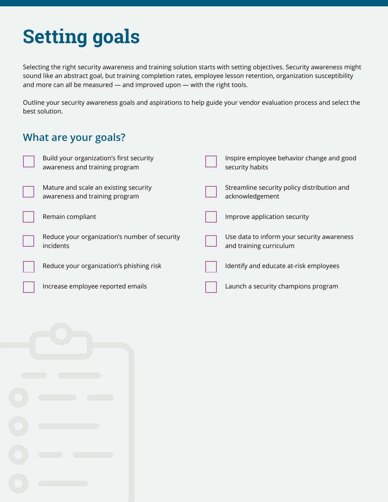# <span id="page-1-0"></span>**Setting goals**

Selecting the right security awareness and training solution starts with setting objectives. Security awareness might sound like an abstract goal, but training completion rates, employee lesson retention, organization susceptibility and more can all be measured — and improved upon — with the right tools.

Outline your security awareness goals and aspirations to help guide your vendor evaluation process and select the best solution.

### **What are your goals?**

| Build your organization's first security<br>awareness and training program | Inspire employee behavior change and good<br>security habits          |
|----------------------------------------------------------------------------|-----------------------------------------------------------------------|
| Mature and scale an existing security<br>awareness and training program    | Streamline security policy distribution and<br>acknowledgement        |
| Remain compliant                                                           | Improve application security                                          |
| Reduce your organization's number of security<br><i>incidents</i>          | Use data to inform your security awareness<br>and training curriculum |
| Reduce your organization's phishing risk                                   | Identify and educate at-risk employees                                |
| Increase employee reported emails                                          | Launch a security champions program                                   |

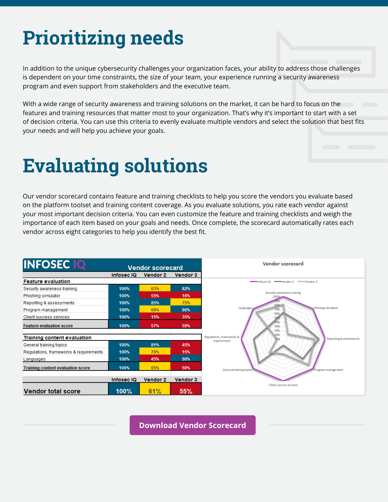# <span id="page-2-0"></span>**Prioritizing needs**

In addition to the unique cybersecurity challenges your organization faces, your ability to address those challenges is dependent on your time constraints, the size of your team, your experience running a security awareness program and even support from stakeholders and the executive team.

With a wide range of security awareness and training solutions on the market, it can be hard to focus on the features and training resources that matter most to your organization. That's why it's important to start with a set of decision criteria. You can use this criteria to evenly evaluate multiple vendors and select the solution that best fits your needs and will help you achieve your goals.

# **Evaluating solutions**

Our vendor scorecard contains feature and training checklists to help you score the vendors you evaluate based on the platform toolset and training content coverage. As you evaluate solutions, you rate each vendor against your most important decision criteria. You can even customize the feature and training checklists and weigh the importance of each item based on your goals and needs. Once complete, the scorecard automatically rates each vendor across eight categories to help you identify the best fit.



**[Download Vendor Scorecard](https://www.infosecinstitute.com/wp-content/uploads/2021/03/IQ-Buyers-Guide-Security-Awareness-Vendor-Scorecard.xlsx)**